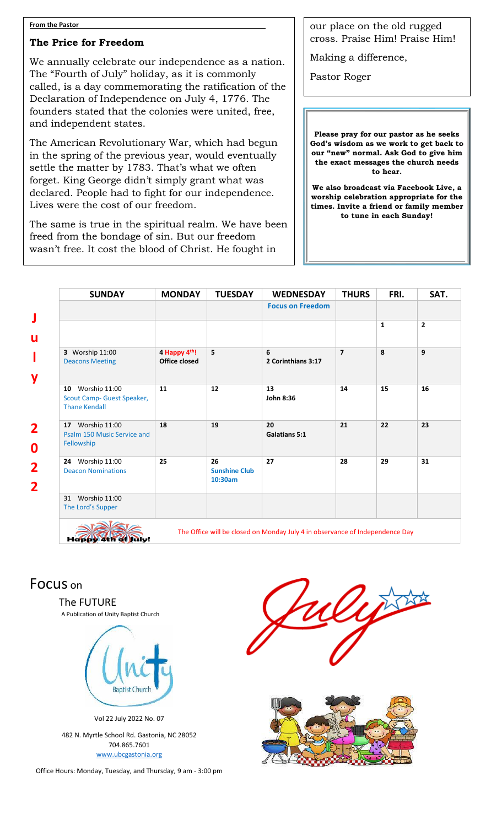#### **From the Pastor**

## **The Price for Freedom**

• called, is a day commemorating the ratification of the We annually celebrate our independence as a nation. The "Fourth of July" holiday, as it is commonly Declaration of Independence on July 4, 1776. The founders stated that the colonies were united, free, and independent states.

The American Revolutionary War, which had begun in the spring of the previous year, would eventually settle the matter by 1783. That's what we often forget. King George didn't simply grant what was declared. People had to fight for our independence. Lives were the cost of our freedom.

The same is true in the spiritual realm. We have been freed from the bondage of sin. But our freedom wasn't free. It cost the blood of Christ. He fought in

our place on the old rugged cross. Praise Him! Praise Him!

Making a difference,

Pastor Roger

**Please pray for our pastor as he seeks God's wisdom as we work to get back to our "new" normal. Ask God to give him the exact messages the church needs to hear.**

**We also broadcast via Facebook Live, a worship celebration appropriate for the times. Invite a friend or family member to tune in each Sunday!**

| <b>SUNDAY</b>                                                          | <b>MONDAY</b>                        | <b>TUESDAY</b>                        | <b>WEDNESDAY</b>           | <b>THURS</b>   | FRI.         | SAT.           |
|------------------------------------------------------------------------|--------------------------------------|---------------------------------------|----------------------------|----------------|--------------|----------------|
|                                                                        |                                      |                                       | <b>Focus on Freedom</b>    |                |              |                |
|                                                                        |                                      |                                       |                            |                | $\mathbf{1}$ | $\overline{2}$ |
| 3 Worship 11:00<br><b>Deacons Meeting</b>                              | 4 Happy 4th!<br><b>Office closed</b> | 5                                     | 6<br>2 Corinthians 3:17    | $\overline{7}$ | 8            | 9              |
| 10 Worship 11:00<br>Scout Camp- Guest Speaker,<br><b>Thane Kendall</b> | 11                                   | 12                                    | 13<br>John 8:36            | 14             | 15           | 16             |
| 17 Worship 11:00<br>Psalm 150 Music Service and<br>Fellowship          | 18                                   | 19                                    | 20<br><b>Galatians 5:1</b> | 21             | 22           | 23             |
| 24 Worship 11:00<br><b>Deacon Nominations</b>                          | 25                                   | 26<br><b>Sunshine Club</b><br>10:30am | 27                         | 28             | 29           | 31             |
| 31 Worship 11:00<br>The Lord's Supper                                  |                                      |                                       |                            |                |              |                |

Focus on

The FUTURE

A Publication of Unity Baptist Church



Vol 22 July 2022 No. 07

482 N. Myrtle School Rd. Gastonia, NC 28052 704.865.7601 [www.ubcgastonia.org](http://www.ubcgastonia.org/)

Office Hours: Monday, Tuesday, and Thursday, 9 am - 3:00 pm

uly